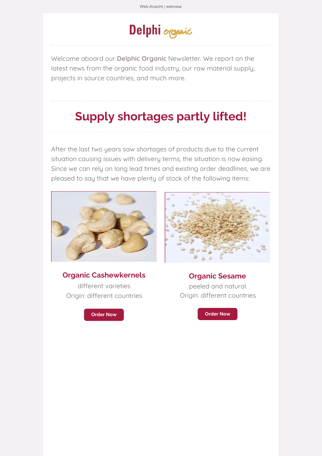# Delphi organic

Welcome aboard our **Delphic [Organic](https://ta37b2676.emailsys1a.net/c/36/4976361/0/0/0/290227/e23ec74c90.html)** Newsletter. We report on the latest news from the organic food industry, our raw material supply, projects in source countries, and much more.

## **Supply shortages partly lifted!**

After the last two years saw shortages of products due to the current situation causing issues with delivery terms, the situation is now easing. Since we can rely on long lead times and existing order deadlines, we are pleased to say that we have plenty of stock of the following items:



#### **Organic Cashewkernels**

different varieties Origin: different countries





**Organic Sesame** peeled and natural Origin: different countries

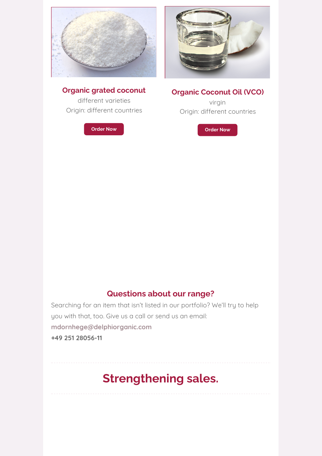

#### **Organic grated coconut**

different varieties Origin: different countries

**[Order](https://ta37b2676.emailsys1a.net/c/36/4976361/0/0/0/290255/e0bdec3a04.html) Now**



#### **Organic Coconut Oil (VCO)**

virgin Origin: different countries

**[Order](https://ta37b2676.emailsys1a.net/c/36/4976361/0/0/0/290233/6ae6a2ca1b.html) Now**

#### **Questions about our range?**

Searching for an item that isn't listed in our portfolio? We'll try to help you with that, too. Give us a call or send us an email: **[mdornhege@delphiorganic.com](https://ta37b2676.emailsys1a.net/c/36/4976361/0/0/0/290245/2e755087cf.html) +49 251 28056-11**

## **Strengthening sales.**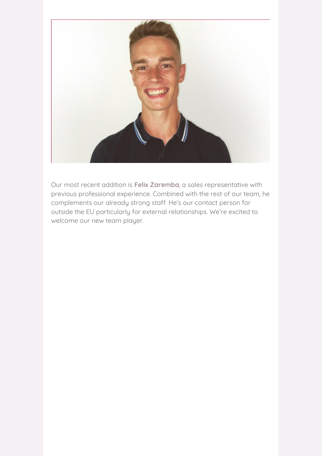

Our most recent addition is **Felix [Zaremba](https://ta37b2676.emailsys1a.net/c/36/4976361/0/0/0/290259/600eb2a881.html)**, a sales representative with previous professional experience. Combined with the rest of our team, he complements our already strong staff. He's our contact person for outside the EU particularly for external relationships. We're excited to welcome our new team player.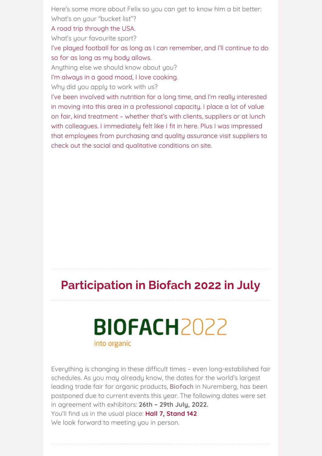Here's some more about Felix so you can get to know him a bit better: What's on your "bucket list"?

A road trip through the USA.

What's your favourite sport?

I've played football for as long as I can remember, and I'll continue to do so for as long as my body allows.

Anything else we should know about you?

I'm always in a good mood, I love cooking.

Why did you apply to work with us?

I've been involved with nutrition for a long time, and I'm really interested in moving into this area in a professional capacity. I place a lot of value on fair, kind treatment – whether that's with clients, suppliers or at lunch with colleagues. I immediately felt like I fit in here. Plus I was impressed that employees from purchasing and quality assurance visit suppliers to check out the social and qualitative conditions on site.

## **Participation in Biofach 2022 in July**

# **BIOFACH2022** into organic

Everything is changing in these difficult times – even long-established fair schedules. As you may already know, the dates for the world's largest leading trade fair for organic products, **[Biofach](https://ta37b2676.emailsys1a.net/c/36/4976361/0/0/0/290227/e23ec74c90.html)** in Nuremberg, has been postponed due to current events this year. The following dates were set in agreement with exhibitors: **26th – 29th July, 2022.** You'll find us in the usual place: **Hall 7, Stand 142**. We look forward to meeting you in person.